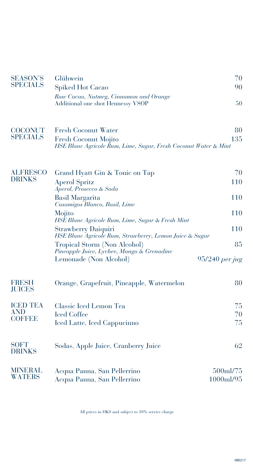| <b>SEASON'S</b>                  | Glühwein                                                                                | 70             |  |
|----------------------------------|-----------------------------------------------------------------------------------------|----------------|--|
| <b>SPECIALS</b>                  | <b>Spiked Hot Cacao</b>                                                                 | 90             |  |
|                                  | Raw Cacao, Nutmeg, Cinnamon and Orange                                                  |                |  |
|                                  | Additional one shot Hennessy VSOP                                                       | 50             |  |
| <b>COCONUT</b>                   | Fresh Coconut Water                                                                     | 80             |  |
| <b>SPECIALS</b>                  |                                                                                         | 135            |  |
|                                  | Fresh Coconut Mojito<br>HSE Blanc Agricole Rum, Lime, Sugar, Fresh Coconut Water & Mint |                |  |
| <b>ALFRESCO</b><br><b>DRINKS</b> | Grand Hyatt Gin & Tonic on Tap                                                          | 70             |  |
|                                  | <b>Aperol Spritz</b><br>Aperol, Prosecco & Soda                                         | 110            |  |
|                                  | Basil Margarita<br>Casamigos Blanco, Basil, Lime                                        | 110            |  |
|                                  | Mojito<br>HSE Blanc Agricole Rum, Lime, Sugar & Fresh Mint                              | 110            |  |
|                                  | Strawberry Daiquiri<br>HSE Blanc Agricole Rum, Strawberry, Lemon Juice & Sugar          | 110            |  |
|                                  | Tropical Storm (Non Alcohol)                                                            | 85             |  |
|                                  | Pineapple Juice, Lychee, Mango & Grenadine<br>Lemonade (Non Alcohol)                    | 95/240 per jug |  |
| <b>FRESH</b><br><b>JUICES</b>    | Orange, Grapefruit, Pineapple, Watermelon                                               | 80             |  |
| <b>ICED TEA</b>                  | Classic Iced Lemon Tea                                                                  | 75             |  |
| <b>AND</b><br><b>COFFEE</b>      | <b>Iced Coffee</b>                                                                      | 70             |  |
|                                  | Iced Latte, Iced Cappucinno                                                             | 75             |  |
| <b>SOFT</b><br><b>DRINKS</b>     | Sodas, Apple Juice, Cranberry Juice                                                     | 62             |  |
| <b>MINERAL</b>                   | Acqua Panna, San Pellerrino                                                             | 500ml/75       |  |
| <b>WATERS</b>                    | Acqua Panna, San Pellerrino                                                             | 1000ml/95      |  |

All prices in HK\$ and subject to 10% service charge